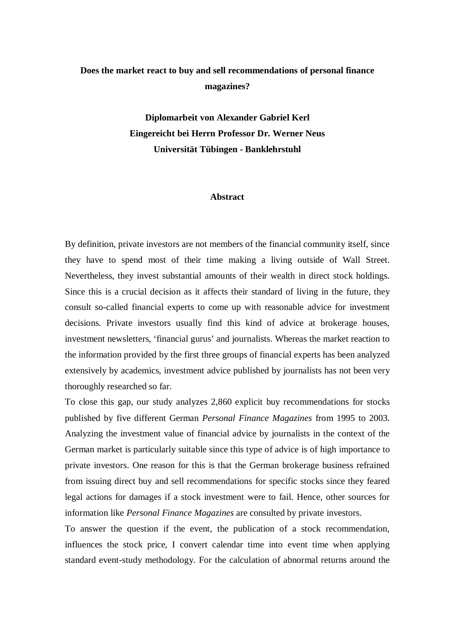## **Does the market react to buy and sell recommendations of personal finance magazines?**

**Diplomarbeit von Alexander Gabriel Kerl Eingereicht bei Herrn Professor Dr. Werner Neus Universität Tübingen - Banklehrstuhl**

## **Abstract**

By definition, private investors are not members of the financial community itself, since they have to spend most of their time making a living outside of Wall Street. Nevertheless, they invest substantial amounts of their wealth in direct stock holdings. Since this is a crucial decision as it affects their standard of living in the future, they consult so-called financial experts to come up with reasonable advice for investment decisions. Private investors usually find this kind of advice at brokerage houses, investment newsletters, 'financial gurus' and journalists. Whereas the market reaction to the information provided by the first three groups of financial experts has been analyzed extensively by academics, investment advice published by journalists has not been very thoroughly researched so far.

To close this gap, our study analyzes 2,860 explicit buy recommendations for stocks published by five different German *Personal Finance Magazines* from 1995 to 2003. Analyzing the investment value of financial advice by journalists in the context of the German market is particularly suitable since this type of advice is of high importance to private investors. One reason for this is that the German brokerage business refrained from issuing direct buy and sell recommendations for specific stocks since they feared legal actions for damages if a stock investment were to fail. Hence, other sources for information like *Personal Finance Magazines* are consulted by private investors.

To answer the question if the event, the publication of a stock recommendation, influences the stock price, I convert calendar time into event time when applying standard event-study methodology. For the calculation of abnormal returns around the